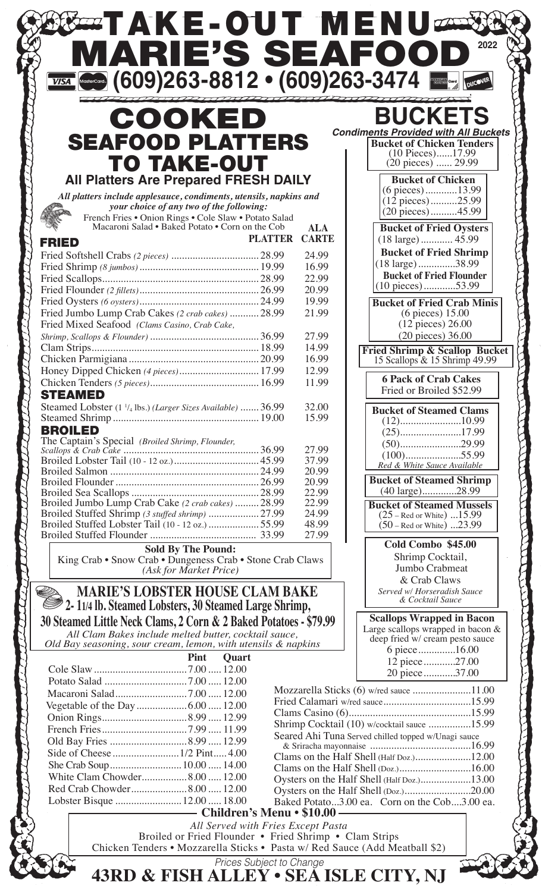| $\frac{1}{\sqrt{154}}$ (609) 263 - 8812 $\cdot$ (609) 263 - 3474                                                                                     |                                  |                            |                                                                                                    |
|------------------------------------------------------------------------------------------------------------------------------------------------------|----------------------------------|----------------------------|----------------------------------------------------------------------------------------------------|
| COOKED                                                                                                                                               |                                  |                            | <b>BUCKETS</b>                                                                                     |
| <b>SEAFOOD PLATTERS</b>                                                                                                                              |                                  |                            | <b>Condiments Provided with All Buckets</b><br><b>Bucket of Chicken Tenders</b>                    |
| <b>TO TAKE-OUT</b>                                                                                                                                   |                                  |                            | (10 Pieces)17.99<br>$(20 \text{ pieces})$ 29.99                                                    |
| <b>All Platters Are Prepared FRESH DAILY</b>                                                                                                         |                                  |                            | <b>Bucket of Chicken</b>                                                                           |
| All platters include applesauce, condiments, utensils, napkins and                                                                                   |                                  |                            | (6 pieces)13.99<br>$(12$ pieces)25.99                                                              |
| your choice of any two of the following:<br>French Fries • Onion Rings • Cole Slaw • Potato Salad<br>Macaroni Salad • Baked Potato • Corn on the Cob |                                  |                            | (20 pieces)45.99                                                                                   |
|                                                                                                                                                      | <b>PLATTER</b>                   | <b>ALA</b><br><b>CARTE</b> | <b>Bucket of Fried Oysters</b>                                                                     |
| <b>FRIED</b>                                                                                                                                         |                                  | 24.99                      | <b>Bucket of Fried Shrimp</b>                                                                      |
|                                                                                                                                                      |                                  | 16.99                      | $(18 \text{ large})$ 38.99                                                                         |
|                                                                                                                                                      |                                  | 22.99<br>20.99             | <b>Bucket of Fried Flounder</b><br>$(10$ pieces)53.99                                              |
|                                                                                                                                                      |                                  | 19.99                      | <b>Bucket of Fried Crab Minis</b>                                                                  |
| Fried Jumbo Lump Crab Cakes (2 crab cakes)  28.99                                                                                                    |                                  | 21.99                      | $(6$ pieces) $15.00$                                                                               |
| Fried Mixed Seafood (Clams Casino, Crab Cake,                                                                                                        |                                  | 27.99                      | $(12 \text{ pieces}) 26.00$<br>(20 pieces) 36.00                                                   |
|                                                                                                                                                      |                                  | 14.99                      |                                                                                                    |
|                                                                                                                                                      |                                  | 16.99                      | Fried Shrimp & Scallop Bucket<br>15 Scallops & 15 Shrimp 49.99                                     |
| Honey Dipped Chicken (4 pieces) 17.99                                                                                                                |                                  | 12.99<br>11.99             | <b>6 Pack of Crab Cakes</b>                                                                        |
| <b>STEAMED</b>                                                                                                                                       |                                  |                            | Fried or Broiled \$52.99                                                                           |
| Steamed Lobster (1 <sup>1</sup> / <sub>4</sub> lbs.) (Larger Sizes Available)  36.99                                                                 |                                  | 32.00                      | <b>Bucket of Steamed Clams</b>                                                                     |
|                                                                                                                                                      |                                  | 15.99                      |                                                                                                    |
| <b>BROILED</b><br>The Captain's Special (Broiled Shrimp, Flounder,                                                                                   |                                  |                            | $(25)$ 17.99<br>$(50)$ 29.99                                                                       |
|                                                                                                                                                      |                                  | 27.99<br>37.99             | $(100)$ 55.99                                                                                      |
|                                                                                                                                                      |                                  | 20.99                      | Red & White Sauce Available                                                                        |
|                                                                                                                                                      |                                  | 20.99<br>22.99             | <b>Bucket of Steamed Shrimp</b><br>(40 large)28.99                                                 |
| Broiled Jumbo Lump Crab Cake (2 crab cakes)  28.99                                                                                                   |                                  | 22.99                      | <b>Bucket of Steamed Mussels</b>                                                                   |
| Broiled Stuffed Shrimp (3 stuffed shrimp)  27.99<br>Broiled Stuffed Lobster Tail (10 - 12 oz.)  55.99                                                |                                  | 24.99<br>48.99             | $(25 - Red or White)  15.99$                                                                       |
|                                                                                                                                                      |                                  | 27.99                      | $(50 -$ Red or White) $23.99$                                                                      |
| <b>Sold By The Pound:</b>                                                                                                                            |                                  |                            | Cold Combo \$45.00                                                                                 |
| King Crab • Snow Crab • Dungeness Crab • Stone Crab Claws<br>(Ask for Market Price)                                                                  |                                  |                            | Shrimp Cocktail,<br>Jumbo Crabmeat                                                                 |
|                                                                                                                                                      |                                  |                            | & Crab Claws                                                                                       |
| <b>MARIE'S LOBSTER HOUSE CLAM BAKE</b>                                                                                                               |                                  |                            | Served w/ Horseradish Sauce<br>& Cocktail Sauce                                                    |
| 2- 11/4 lb. Steamed Lobsters, 30 Steamed Large Shrimp,                                                                                               |                                  |                            | <b>Scallops Wrapped in Bacon</b>                                                                   |
| 30 Steamed Little Neck Clams, 2 Corn & 2 Baked Potatoes - \$79.99<br>All Clam Bakes include melted butter, cocktail sauce,                           |                                  |                            | Large scallops wrapped in bacon &                                                                  |
| Old Bay seasoning, sour cream, lemon, with utensils $\&$ napkins                                                                                     |                                  |                            | deep fried w/ cream pesto sauce<br>6 piece16.00                                                    |
| Pint                                                                                                                                                 | <b>Ouart</b>                     |                            | 12 piece27.00                                                                                      |
|                                                                                                                                                      |                                  |                            | 20 piece37.00                                                                                      |
|                                                                                                                                                      |                                  |                            | Mozzarella Sticks (6) w/red sauce 11.00                                                            |
|                                                                                                                                                      |                                  |                            |                                                                                                    |
|                                                                                                                                                      |                                  |                            |                                                                                                    |
|                                                                                                                                                      |                                  |                            | Shrimp Cocktail (10) w/cocktail sauce 15.99<br>Seared Ahi Tuna Served chilled topped w/Unagi sauce |
| Old Bay Fries  8.99  12.99                                                                                                                           |                                  |                            |                                                                                                    |
|                                                                                                                                                      |                                  |                            | Clams on the Half Shell (Half Doz.)12.00                                                           |
| White Clam Chowder8.00  12.00                                                                                                                        |                                  |                            | Clams on the Half Shell (Doz.)16.00                                                                |
| Red Crab Chowder8.00 12.00                                                                                                                           |                                  |                            | Oysters on the Half Shell (Half Doz.)13.00                                                         |
| Lobster Bisque  12.00  18.00                                                                                                                         |                                  |                            | Baked Potato3.00 ea. Corn on the Cob3.00 ea.                                                       |
|                                                                                                                                                      | <b>Children's Menu • \$10.00</b> |                            |                                                                                                    |